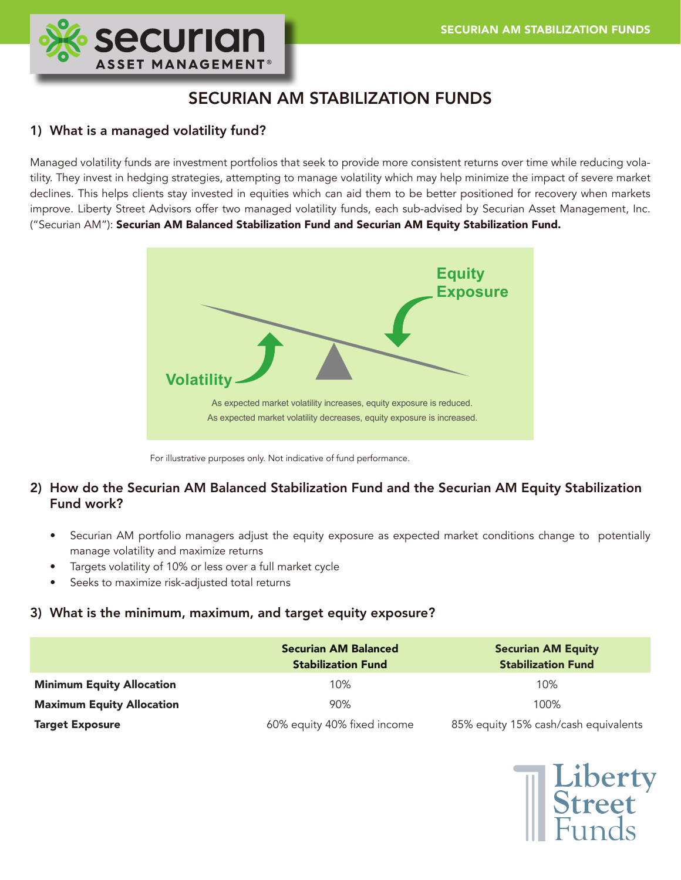

# SECURIAN AM STABILIZATION FUNDS

# 1) What is a managed volatility fund?

Managed volatility funds are investment portfolios that seek to provide more consistent returns over time while reducing volatility. They invest in hedging strategies, attempting to manage volatility which may help minimize the impact of severe market declines. This helps clients stay invested in equities which can aid them to be better positioned for recovery when markets improve. Liberty Street Advisors offer two managed volatility funds, each sub-advised by Securian Asset Management, Inc. ("Securian AM"): Securian AM Balanced Stabilization Fund and Securian AM Equity Stabilization Fund.



For illustrative purposes only. Not indicative of fund performance.

# 2) How do the Securian AM Balanced Stabilization Fund and the Securian AM Equity Stabilization Fund work?

- Securian AM portfolio managers adjust the equity exposure as expected market conditions change to potentially manage volatility and maximize returns
- Targets volatility of 10% or less over a full market cycle
- Seeks to maximize risk-adjusted total returns

## 3) What is the minimum, maximum, and target equity exposure?

|                                  | <b>Securian AM Balanced</b><br><b>Stabilization Fund</b> | <b>Securian AM Equity</b><br><b>Stabilization Fund</b> |
|----------------------------------|----------------------------------------------------------|--------------------------------------------------------|
| <b>Minimum Equity Allocation</b> | 10%                                                      | 10%                                                    |
| <b>Maximum Equity Allocation</b> | 90%                                                      | 100%                                                   |
| <b>Target Exposure</b>           | 60% equity 40% fixed income                              | 85% equity 15% cash/cash equivalents                   |

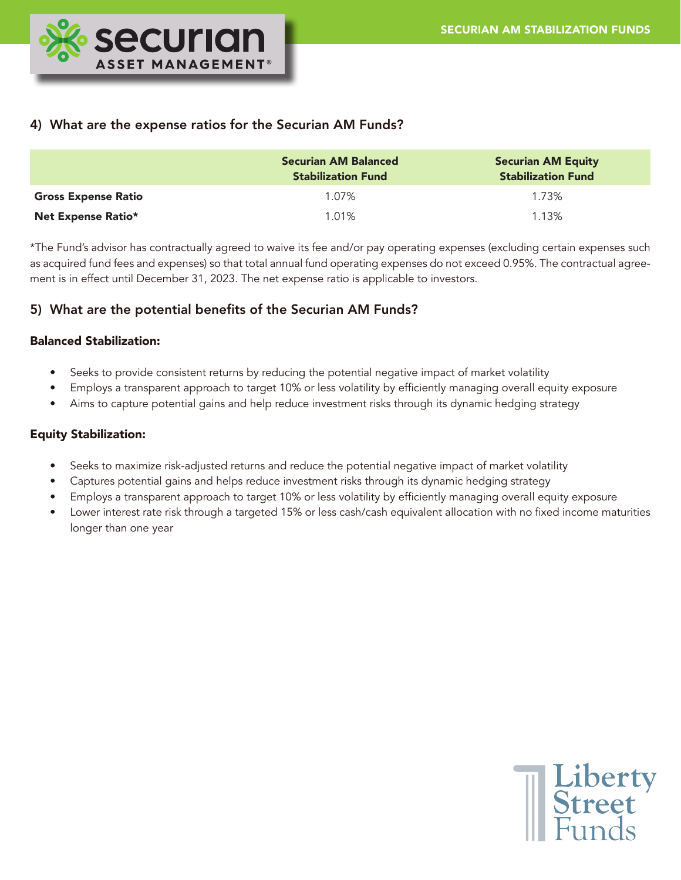

## 4) What are the expense ratios for the Securian AM Funds?

|                            | <b>Securian AM Balanced</b><br><b>Stabilization Fund</b> | <b>Securian AM Equity</b><br><b>Stabilization Fund</b> |
|----------------------------|----------------------------------------------------------|--------------------------------------------------------|
| <b>Gross Expense Ratio</b> | 1.07%                                                    | 1.73%                                                  |
| Net Expense Ratio*         | $1.01\%$                                                 | 1.13%                                                  |

\*The Fund's advisor has contractually agreed to waive its fee and/or pay operating expenses (excluding certain expenses such as acquired fund fees and expenses) so that total annual fund operating expenses do not exceed 0.95%. The contractual agreement is in effect until December 31, 2023. The net expense ratio is applicable to investors.

# 5) What are the potential benefits of the Securian AM Funds?

## Balanced Stabilization:

- Seeks to provide consistent returns by reducing the potential negative impact of market volatility
- Employs a transparent approach to target 10% or less volatility by efficiently managing overall equity exposure
- Aims to capture potential gains and help reduce investment risks through its dynamic hedging strategy

## Equity Stabilization:

- Seeks to maximize risk-adjusted returns and reduce the potential negative impact of market volatility
- Captures potential gains and helps reduce investment risks through its dynamic hedging strategy
- Employs a transparent approach to target 10% or less volatility by efficiently managing overall equity exposure
- Lower interest rate risk through a targeted 15% or less cash/cash equivalent allocation with no fixed income maturities longer than one year

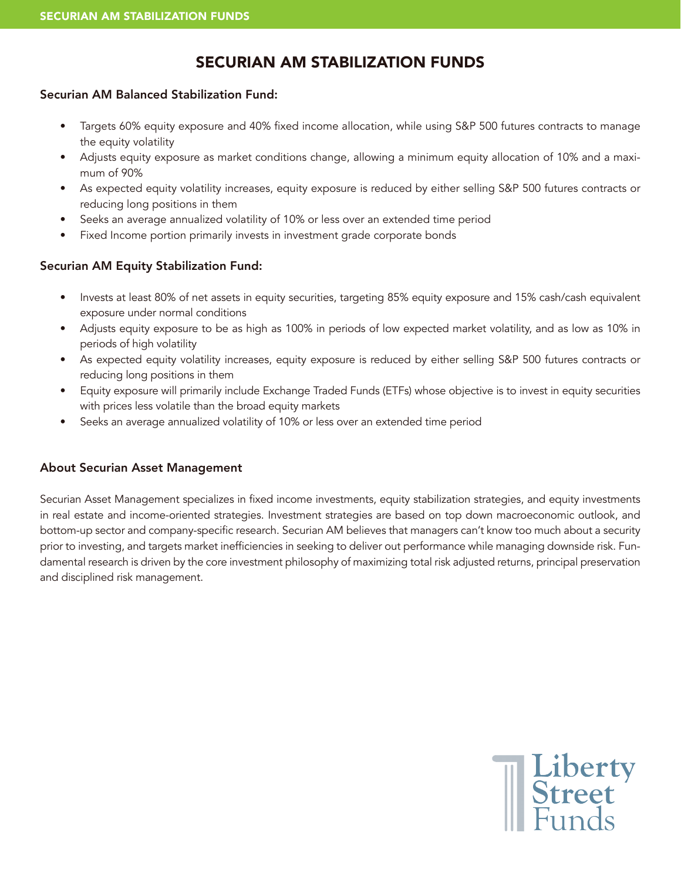# SECURIAN AM STABILIZATION FUNDS

## Securian AM Balanced Stabilization Fund:

- Targets 60% equity exposure and 40% fixed income allocation, while using S&P 500 futures contracts to manage the equity volatility
- Adjusts equity exposure as market conditions change, allowing a minimum equity allocation of 10% and a maximum of 90%
- As expected equity volatility increases, equity exposure is reduced by either selling S&P 500 futures contracts or reducing long positions in them
- Seeks an average annualized volatility of 10% or less over an extended time period
- Fixed Income portion primarily invests in investment grade corporate bonds

## Securian AM Equity Stabilization Fund:

- Invests at least 80% of net assets in equity securities, targeting 85% equity exposure and 15% cash/cash equivalent exposure under normal conditions
- Adjusts equity exposure to be as high as 100% in periods of low expected market volatility, and as low as 10% in periods of high volatility
- As expected equity volatility increases, equity exposure is reduced by either selling S&P 500 futures contracts or reducing long positions in them
- Equity exposure will primarily include Exchange Traded Funds (ETFs) whose objective is to invest in equity securities with prices less volatile than the broad equity markets
- Seeks an average annualized volatility of 10% or less over an extended time period

## About Securian Asset Management

Securian Asset Management specializes in fixed income investments, equity stabilization strategies, and equity investments in real estate and income-oriented strategies. Investment strategies are based on top down macroeconomic outlook, and bottom-up sector and company-specific research. Securian AM believes that managers can't know too much about a security prior to investing, and targets market inefficiencies in seeking to deliver out performance while managing downside risk. Fundamental research is driven by the core investment philosophy of maximizing total risk adjusted returns, principal preservation and disciplined risk management.